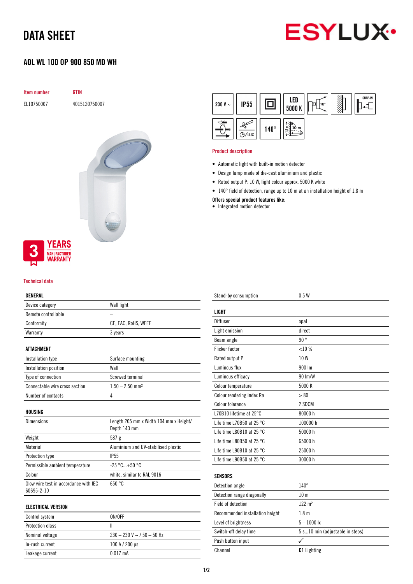## DATA SHEET



## AOL WL 100 OP 900 850 MD WH

| Item number                                                             | <b>GTIN</b>   |
|-------------------------------------------------------------------------|---------------|
| EL10750007                                                              | 4015120750007 |
| <b>YEARS</b><br>$\frac{3}{4}$<br><b>MANUFACTURER</b><br><b>WARRANTY</b> |               |
|                                                                         |               |

## Technical data

#### GENERAL

| Device category                       | Wall light                             |  |  |
|---------------------------------------|----------------------------------------|--|--|
| Remote controllable                   |                                        |  |  |
| Conformity                            | CE, EAC, RoHS, WEEE                    |  |  |
| Warranty                              | 3 years                                |  |  |
|                                       |                                        |  |  |
| <b>ATTACHMENT</b>                     |                                        |  |  |
| Installation type                     | Surface mounting                       |  |  |
| Installation position                 | Wall                                   |  |  |
| Type of connection                    | Screwed terminal                       |  |  |
| Connectable wire cross section        | $1.50 - 2.50$ mm <sup>2</sup>          |  |  |
| Number of contacts                    | 4                                      |  |  |
|                                       |                                        |  |  |
| HOUSING                               |                                        |  |  |
| Dimensions                            | Length 205 mm x Width 104 mm x Height/ |  |  |
|                                       | Depth 143 mm                           |  |  |
| Weight                                | 587 g                                  |  |  |
| Material                              | Aluminium and UV-stabilised plastic    |  |  |
| <b>Protection type</b>                | IP <sub>55</sub>                       |  |  |
| Permissible ambient temperature       | $-25 °C+50 °C$                         |  |  |
| Colour                                | white, similar to RAL 9016             |  |  |
| Glow wire test in accordance with IEC | 650 °C                                 |  |  |
| 60695-2-10                            |                                        |  |  |
|                                       |                                        |  |  |

### ELECTRICAL VERSION

| Control system          | ON/OFF                           |
|-------------------------|----------------------------------|
| <b>Protection class</b> |                                  |
| Nominal voltage         | $230 - 230$ V ~ $/$ 50 $-$ 50 Hz |
| In-rush current         | $100 A / 200 \,\mu s$            |
| Leakage current         | $0.017 \text{ mA}$               |

| 230 V $\sim$ | <b>IP55</b> |             | LED<br>5000 K    | 100°<br>O | SNAP-IN |
|--------------|-------------|-------------|------------------|-----------|---------|
| E            | /lux        | $140^\circ$ | 10 m<br>$\infty$ |           |         |

#### Product description

- Automatic light with built-in motion detector
- Design lamp made of die-cast aluminium and plastic
- Rated output P: 10 W, light colour approx. 5000 K white
- 140° field of detection, range up to 10 m at an installation height of 1.8 m

Offers special product features like:

• Integrated motion detector

| Stand-by consumption                | 0.5W                            |
|-------------------------------------|---------------------------------|
| LIGHT                               |                                 |
|                                     |                                 |
| Diffuser                            | opal                            |
| Light emission                      | direct                          |
| Beam angle                          | 90°                             |
| <b>Flicker factor</b>               | $< 10\%$                        |
| Rated output P                      | 10 W                            |
| Luminous flux                       | 900 Im                          |
| Luminous efficacy                   | 90 Im/W                         |
| Colour temperature                  | 5000 K                          |
| Colour rendering index Ra           | > 80                            |
| Colour tolerance                    | 2 SDCM                          |
| L70B10 lifetime at 25°C             | 80000 h                         |
| Life time L70B50 at 25 $^{\circ}$ C | 100000 h                        |
| Life time L80B10 at 25 °C           | 50000 h                         |
| Life time L80B50 at 25 $^{\circ}$ C | 65000 h                         |
| Life time L90B10 at 25 $^{\circ}$ C | 25000 h                         |
| Life time L90B50 at 25 °C           | 30000 h                         |
|                                     |                                 |
| <b>SENSORS</b>                      |                                 |
| Detection angle                     | $140^\circ$                     |
| Detection range diagonally          | 10 <sub>m</sub>                 |
| Field of detection                  | $122 \; \text{m}^2$             |
| Recommended installation height     | 1.8 <sub>m</sub>                |
| Level of brightness                 | $5 - 1000$ lx                   |
| Switch-off delay time               | 5 s10 min (adjustable in steps) |
| Push button input                   | ✓                               |
| Channel                             | <b>C1</b> Lighting              |